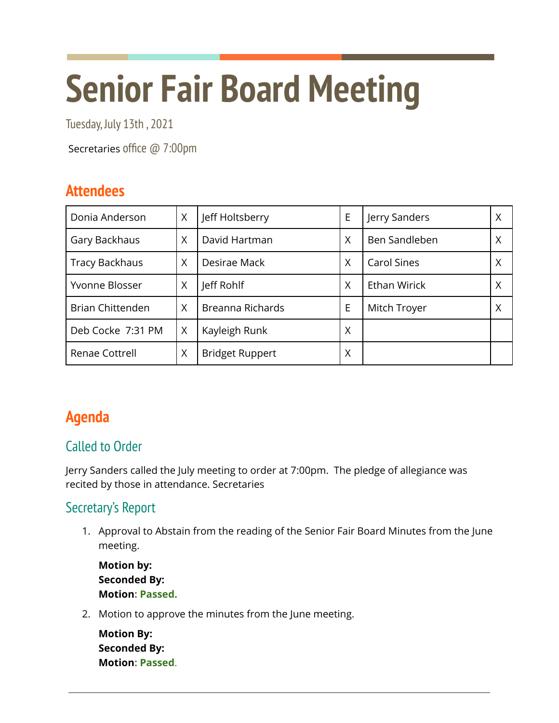# **Senior Fair Board Meeting**

Tuesday, July 13th , 2021

Secretaries office @ 7:00pm

# **Attendees**

| Donia Anderson          | X | Jeff Holtsberry        | E | Jerry Sanders      |   |
|-------------------------|---|------------------------|---|--------------------|---|
| Gary Backhaus           | X | David Hartman          | X | Ben Sandleben      |   |
| <b>Tracy Backhaus</b>   | X | Desirae Mack           | X | <b>Carol Sines</b> |   |
| Yvonne Blosser          | Χ | Jeff Rohlf             | X | Ethan Wirick       | Χ |
| <b>Brian Chittenden</b> | X | Breanna Richards       | E | Mitch Troyer       |   |
| Deb Cocke 7:31 PM       | X | Kayleigh Runk          | Χ |                    |   |
| Renae Cottrell          | Χ | <b>Bridget Ruppert</b> | Χ |                    |   |

# **Agenda**

## Called to Order

Jerry Sanders called the July meeting to order at 7:00pm. The pledge of allegiance was recited by those in attendance. Secretaries

## Secretary's Report

1. Approval to Abstain from the reading of the Senior Fair Board Minutes from the June meeting.

**Motion by: Seconded By: Motion: Passed.**

2. Motion to approve the minutes from the June meeting.

**Motion By: Seconded By: Motion: Passed**.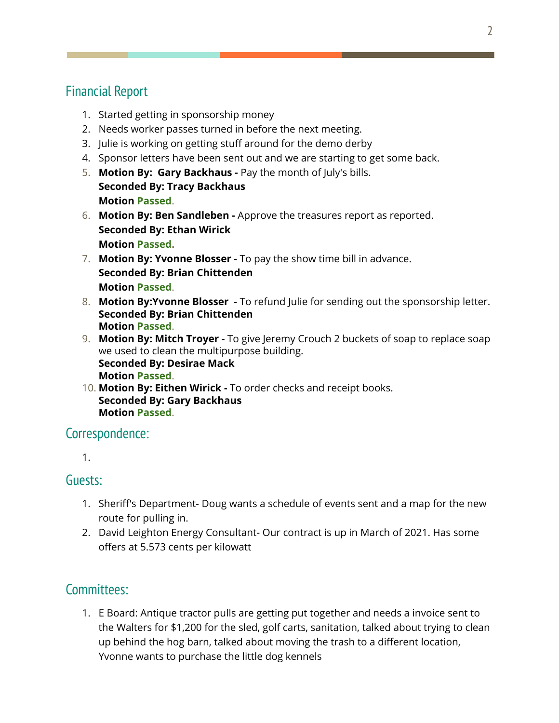## Financial Report

- 1. Started getting in sponsorship money
- 2. Needs worker passes turned in before the next meeting.
- 3. Julie is working on getting stuff around for the demo derby
- 4. Sponsor letters have been sent out and we are starting to get some back.
- 5. **Motion By: Gary Backhaus -** Pay the month of July's bills. **Seconded By: Tracy Backhaus Motion Passed**.
- 6. **Motion By: Ben Sandleben -** Approve the treasures report as reported. **Seconded By: Ethan Wirick Motion Passed.**
- 7. **Motion By: Yvonne Blosser -** To pay the show time bill in advance. **Seconded By: Brian Chittenden Motion Passed**.
- 8. **Motion By:Yvonne Blosser -** To refund Julie for sending out the sponsorship letter. **Seconded By: Brian Chittenden Motion Passed**.
- 9. **Motion By: Mitch Troyer -** To give Jeremy Crouch 2 buckets of soap to replace soap we used to clean the multipurpose building. **Seconded By: Desirae Mack Motion Passed**.
- 10. **Motion By: Eithen Wirick -** To order checks and receipt books. **Seconded By: Gary Backhaus Motion Passed**.

## Correspondence:

1.

## Guests:

- 1. Sheriff's Department- Doug wants a schedule of events sent and a map for the new route for pulling in.
- 2. David Leighton Energy Consultant- Our contract is up in March of 2021. Has some offers at 5.573 cents per kilowatt

## Committees:

1. E Board: Antique tractor pulls are getting put together and needs a invoice sent to the Walters for \$1,200 for the sled, golf carts, sanitation, talked about trying to clean up behind the hog barn, talked about moving the trash to a different location, Yvonne wants to purchase the little dog kennels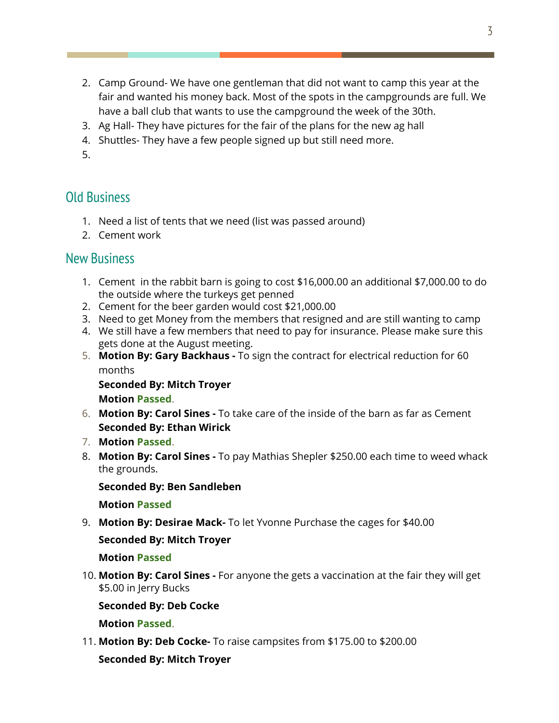- 2. Camp Ground- We have one gentleman that did not want to camp this year at the fair and wanted his money back. Most of the spots in the campgrounds are full. We have a ball club that wants to use the campground the week of the 30th.
- 3. Ag Hall- They have pictures for the fair of the plans for the new ag hall
- 4. Shuttles- They have a few people signed up but still need more.
- 5.

## Old Business

- 1. Need a list of tents that we need (list was passed around)
- 2. Cement work

### New Business

- 1. Cement in the rabbit barn is going to cost \$16,000.00 an additional \$7,000.00 to do the outside where the turkeys get penned
- 2. Cement for the beer garden would cost \$21,000.00
- 3. Need to get Money from the members that resigned and are still wanting to camp
- 4. We still have a few members that need to pay for insurance. Please make sure this gets done at the August meeting.
- 5. **Motion By: Gary Backhaus -** To sign the contract for electrical reduction for 60 months

**Seconded By: Mitch Troyer Motion Passed**.

- 6. **Motion By: Carol Sines -** To take care of the inside of the barn as far as Cement **Seconded By: Ethan Wirick**
- 7. **Motion Passed**.
- 8. **Motion By: Carol Sines -** To pay Mathias Shepler \$250.00 each time to weed whack the grounds.

#### **Seconded By: Ben Sandleben**

#### **Motion Passed**

9. **Motion By: Desirae Mack-** To let Yvonne Purchase the cages for \$40.00

#### **Seconded By: Mitch Troyer**

#### **Motion Passed**

10. **Motion By: Carol Sines -** For anyone the gets a vaccination at the fair they will get \$5.00 in Jerry Bucks

#### **Seconded By: Deb Cocke**

**Motion Passed**.

11. **Motion By: Deb Cocke-** To raise campsites from \$175.00 to \$200.00

#### **Seconded By: Mitch Troyer**